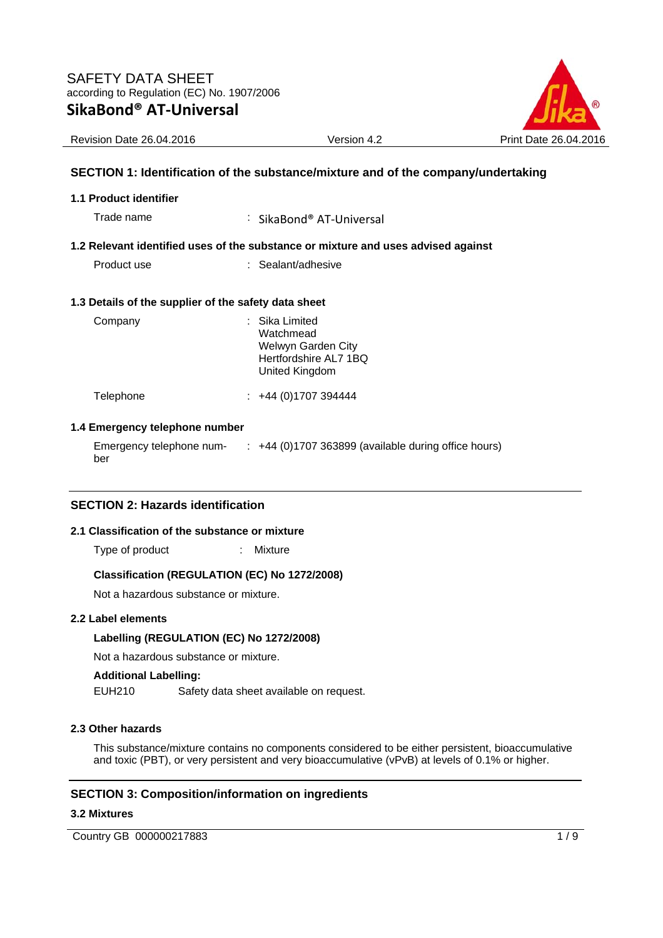

# **SECTION 1: Identification of the substance/mixture and of the company/undertaking**

#### **1.1 Product identifier**

Trade name : SikaBond® AT-Universal

## **1.2 Relevant identified uses of the substance or mixture and uses advised against**

Product use : Sealant/adhesive

#### **1.3 Details of the supplier of the safety data sheet**

| Company   | : Sika Limited<br>Watchmead<br>Welwyn Garden City<br>Hertfordshire AL7 1BQ<br>United Kingdom |
|-----------|----------------------------------------------------------------------------------------------|
| Telephone | $\div$ +44 (0)1707 394444                                                                    |

## **1.4 Emergency telephone number**

Emergency telephone number :  $+44$  (0)1707 363899 (available during office hours)

# **SECTION 2: Hazards identification**

### **2.1 Classification of the substance or mixture**

Type of product : Mixture

#### **Classification (REGULATION (EC) No 1272/2008)**

Not a hazardous substance or mixture.

#### **2.2 Label elements**

#### **Labelling (REGULATION (EC) No 1272/2008)**

Not a hazardous substance or mixture.

# **Additional Labelling:**

EUH210 Safety data sheet available on request.

#### **2.3 Other hazards**

This substance/mixture contains no components considered to be either persistent, bioaccumulative and toxic (PBT), or very persistent and very bioaccumulative (vPvB) at levels of 0.1% or higher.

# **SECTION 3: Composition/information on ingredients**

#### **3.2 Mixtures**

Country GB 000000217883 1/9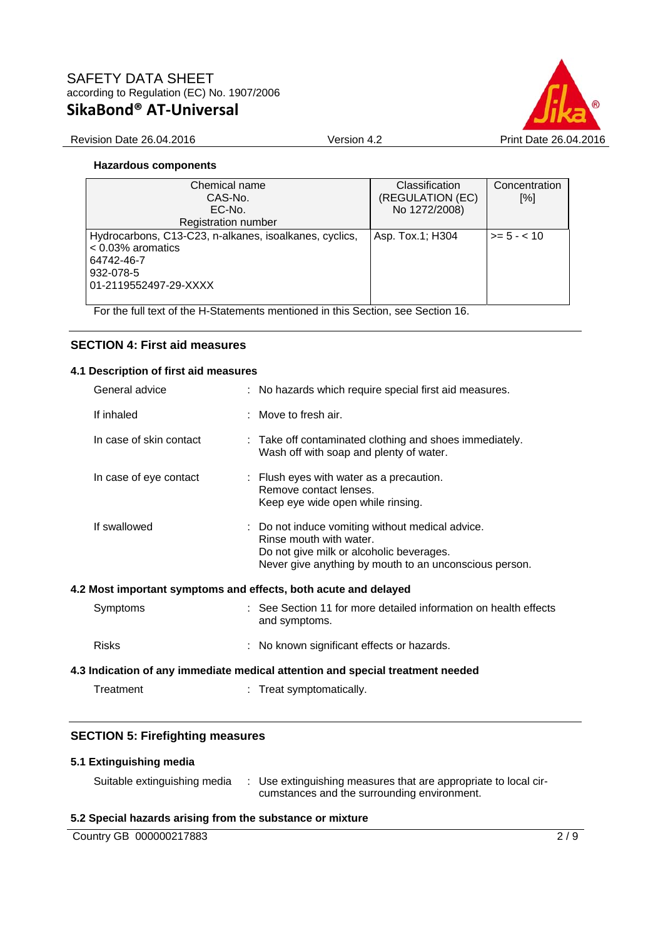

## Revision Date 26.04.2016 Version 4.2 Print Date 26.04.2016

## **Hazardous components**

| Chemical name                                          | Classification   | Concentration    |
|--------------------------------------------------------|------------------|------------------|
| CAS-No.                                                | (REGULATION (EC) | [%]              |
| EC-No.                                                 | No 1272/2008)    |                  |
| Registration number                                    |                  |                  |
| Hydrocarbons, C13-C23, n-alkanes, isoalkanes, cyclics, | Asp. Tox.1; H304 | $\ge$ = 5 - < 10 |
| $< 0.03\%$ aromatics                                   |                  |                  |
| 64742-46-7                                             |                  |                  |
| 932-078-5                                              |                  |                  |
| 01-2119552497-29-XXXX                                  |                  |                  |
|                                                        |                  |                  |

For the full text of the H-Statements mentioned in this Section, see Section 16.

# **SECTION 4: First aid measures**

## **4.1 Description of first aid measures**

|                                                                                | General advice          |  | : No hazards which require special first aid measures.                                                                                                                            |
|--------------------------------------------------------------------------------|-------------------------|--|-----------------------------------------------------------------------------------------------------------------------------------------------------------------------------------|
|                                                                                | If inhaled              |  | $:$ Move to fresh air.                                                                                                                                                            |
|                                                                                | In case of skin contact |  | : Take off contaminated clothing and shoes immediately.<br>Wash off with soap and plenty of water.                                                                                |
|                                                                                | In case of eye contact  |  | $\therefore$ Flush eyes with water as a precaution.<br>Remove contact lenses.<br>Keep eye wide open while rinsing.                                                                |
|                                                                                | If swallowed            |  | : Do not induce vomiting without medical advice.<br>Rinse mouth with water.<br>Do not give milk or alcoholic beverages.<br>Never give anything by mouth to an unconscious person. |
|                                                                                |                         |  | 4.2 Most important symptoms and effects, both acute and delayed                                                                                                                   |
|                                                                                | Symptoms                |  | : See Section 11 for more detailed information on health effects<br>and symptoms.                                                                                                 |
|                                                                                | <b>Risks</b>            |  | : No known significant effects or hazards.                                                                                                                                        |
| 4.3 Indication of any immediate medical attention and special treatment needed |                         |  |                                                                                                                                                                                   |
|                                                                                |                         |  |                                                                                                                                                                                   |

# Treatment : Treat symptomatically.

# **SECTION 5: Firefighting measures**

# **5.1 Extinguishing media**

| Suitable extinguishing media | Use extinguishing measures that are appropriate to local cir- |
|------------------------------|---------------------------------------------------------------|
|                              | cumstances and the surrounding environment.                   |

# **5.2 Special hazards arising from the substance or mixture**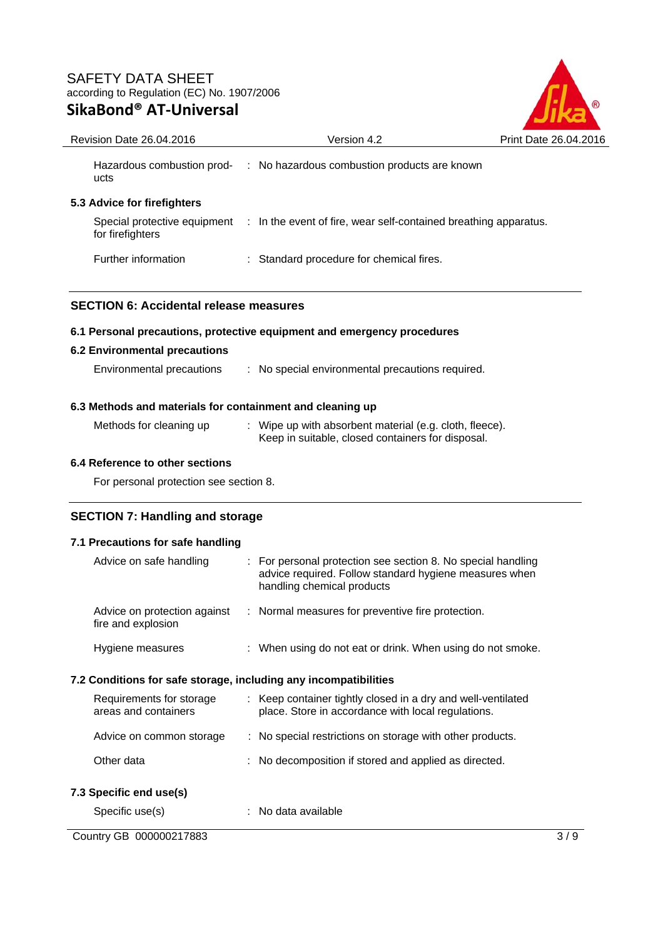

| Revision Date 26.04.2016                                  | Version 4.2                                                                                                  | Print Date 26.04.2016 |  |  |
|-----------------------------------------------------------|--------------------------------------------------------------------------------------------------------------|-----------------------|--|--|
| ucts                                                      | Hazardous combustion prod- : No hazardous combustion products are known                                      |                       |  |  |
| 5.3 Advice for firefighters                               |                                                                                                              |                       |  |  |
| for firefighters                                          | Special protective equipment : In the event of fire, wear self-contained breathing apparatus.                |                       |  |  |
| Further information                                       | : Standard procedure for chemical fires.                                                                     |                       |  |  |
|                                                           |                                                                                                              |                       |  |  |
| <b>SECTION 6: Accidental release measures</b>             |                                                                                                              |                       |  |  |
|                                                           | 6.1 Personal precautions, protective equipment and emergency procedures                                      |                       |  |  |
| <b>6.2 Environmental precautions</b>                      |                                                                                                              |                       |  |  |
| Environmental precautions                                 | : No special environmental precautions required.                                                             |                       |  |  |
| 6.3 Methods and materials for containment and cleaning up |                                                                                                              |                       |  |  |
| Methods for cleaning up                                   | : Wipe up with absorbent material (e.g. cloth, fleece).<br>Keep in suitable, closed containers for disposal. |                       |  |  |
| 6.4 Reference to other sections                           |                                                                                                              |                       |  |  |

For personal protection see section 8.

# **SECTION 7: Handling and storage**

# **7.1 Precautions for safe handling**

| Advice on safe handling<br>$\therefore$ For personal protection see section 8. No special handling<br>advice required. Follow standard hygiene measures when<br>handling chemical products |  |  |  |  |
|--------------------------------------------------------------------------------------------------------------------------------------------------------------------------------------------|--|--|--|--|
| : Normal measures for preventive fire protection.<br>Advice on protection against<br>fire and explosion                                                                                    |  |  |  |  |
| : When using do not eat or drink. When using do not smoke.<br>Hygiene measures                                                                                                             |  |  |  |  |
| 7.2 Conditions for safe storage, including any incompatibilities                                                                                                                           |  |  |  |  |
| : Keep container tightly closed in a dry and well-ventilated<br>Requirements for storage<br>areas and containers<br>place. Store in accordance with local regulations.                     |  |  |  |  |
| : No special restrictions on storage with other products.<br>Advice on common storage                                                                                                      |  |  |  |  |
| Other data<br>: No decomposition if stored and applied as directed.                                                                                                                        |  |  |  |  |
| 7.3 Specific end use(s)                                                                                                                                                                    |  |  |  |  |
| : No data available<br>Specific use(s)                                                                                                                                                     |  |  |  |  |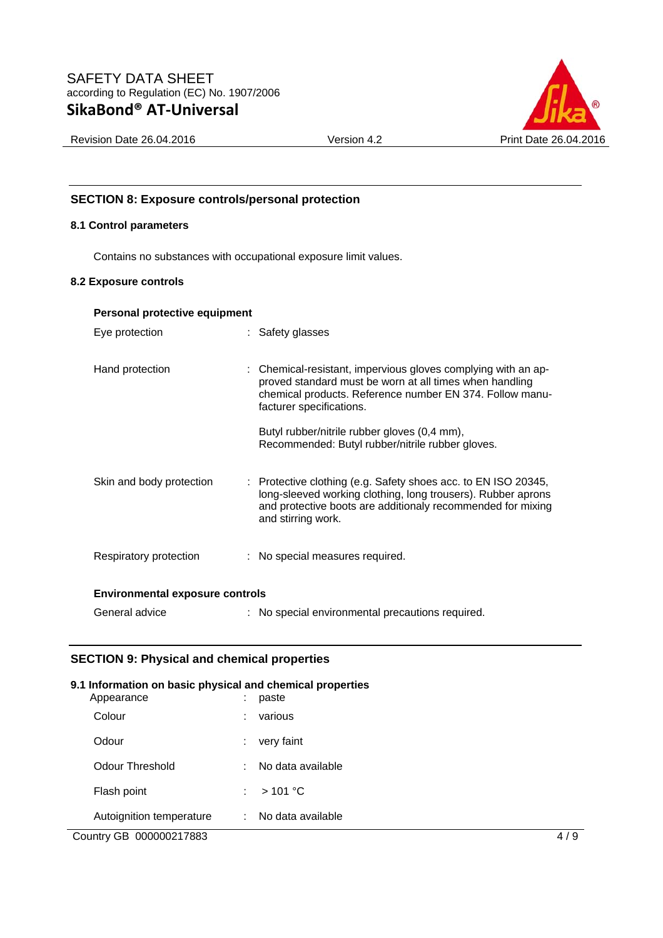

# **SECTION 8: Exposure controls/personal protection**

# **8.1 Control parameters**

Contains no substances with occupational exposure limit values.

## **8.2 Exposure controls**

| Personal protective equipment          |                                                                                                                                                                                                                                                                                                                      |  |  |  |
|----------------------------------------|----------------------------------------------------------------------------------------------------------------------------------------------------------------------------------------------------------------------------------------------------------------------------------------------------------------------|--|--|--|
| Eye protection                         | : Safety glasses                                                                                                                                                                                                                                                                                                     |  |  |  |
| Hand protection                        | : Chemical-resistant, impervious gloves complying with an ap-<br>proved standard must be worn at all times when handling<br>chemical products. Reference number EN 374. Follow manu-<br>facturer specifications.<br>Butyl rubber/nitrile rubber gloves (0,4 mm),<br>Recommended: Butyl rubber/nitrile rubber gloves. |  |  |  |
| Skin and body protection               | : Protective clothing (e.g. Safety shoes acc. to EN ISO 20345,<br>long-sleeved working clothing, long trousers). Rubber aprons<br>and protective boots are additionaly recommended for mixing<br>and stirring work.                                                                                                  |  |  |  |
| Respiratory protection                 | : No special measures required.                                                                                                                                                                                                                                                                                      |  |  |  |
| <b>Environmental exposure controls</b> |                                                                                                                                                                                                                                                                                                                      |  |  |  |
| General advice                         | : No special environmental precautions required.                                                                                                                                                                                                                                                                     |  |  |  |

# **SECTION 9: Physical and chemical properties**

# Country GB 000000217883 4/9 **9.1 Information on basic physical and chemical properties**  Appearance Colour : various Odour : very faint Odour Threshold : No data available Flash point : > 101 °C Autoignition temperature : No data available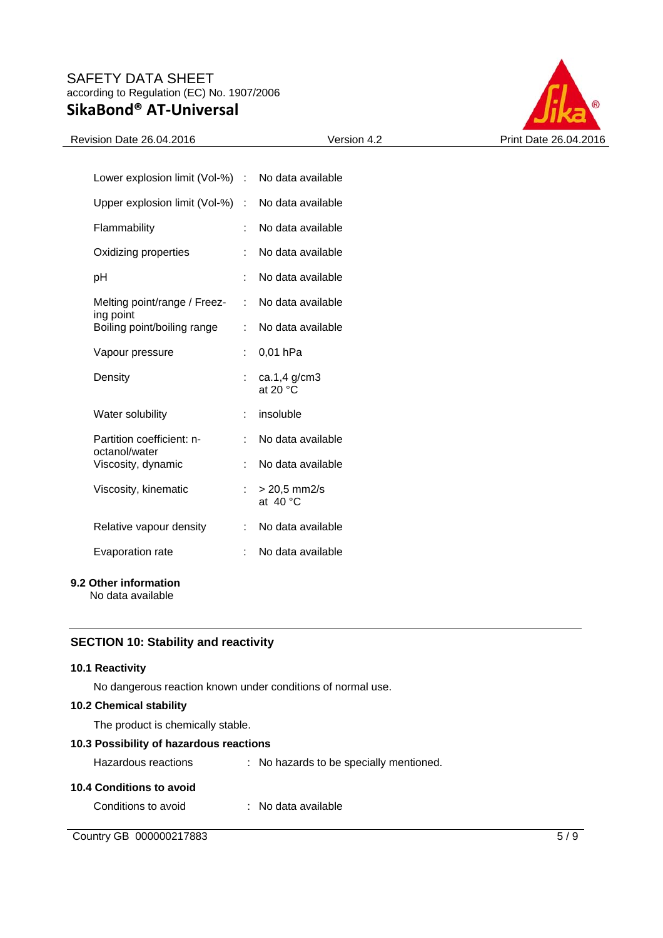

## Revision Date 26.04.2016 Version 4.2 Print Date 26.04.2016

| Lower explosion limit (Vol-%)              | t. | No data available                   |
|--------------------------------------------|----|-------------------------------------|
| Upper explosion limit (Vol-%)              | ÷  | No data available                   |
| Flammability                               | t  | No data available                   |
| Oxidizing properties                       | ÷  | No data available                   |
| рH                                         | ÷  | No data available                   |
| Melting point/range / Freez-<br>ing point  | ÷  | No data available                   |
| Boiling point/boiling range                | ÷  | No data available                   |
| Vapour pressure                            | t. | 0,01 hPa                            |
| Density                                    |    | ca.1,4 $g/cm3$<br>at 20 $\degree$ C |
| Water solubility                           | ÷  | insoluble                           |
| Partition coefficient: n-<br>octanol/water | t. | No data available                   |
| Viscosity, dynamic                         | ÷. | No data available                   |
| Viscosity, kinematic                       | ÷. | > 20,5 mm2/s<br>at $40^{\circ}$ C   |
| Relative vapour density                    |    | No data available                   |
| Evaporation rate                           |    | No data available                   |

## **9.2 Other information**

No data available

# **SECTION 10: Stability and reactivity**

## **10.1 Reactivity**

No dangerous reaction known under conditions of normal use.

# **10.2 Chemical stability**

The product is chemically stable.

# **10.3 Possibility of hazardous reactions**

| Hazardous reactions      | : No hazards to be specially mentioned. |
|--------------------------|-----------------------------------------|
| 10.4 Conditions to avoid |                                         |
| Conditions to avoid      | : No data available                     |

Country GB 000000217883 5/9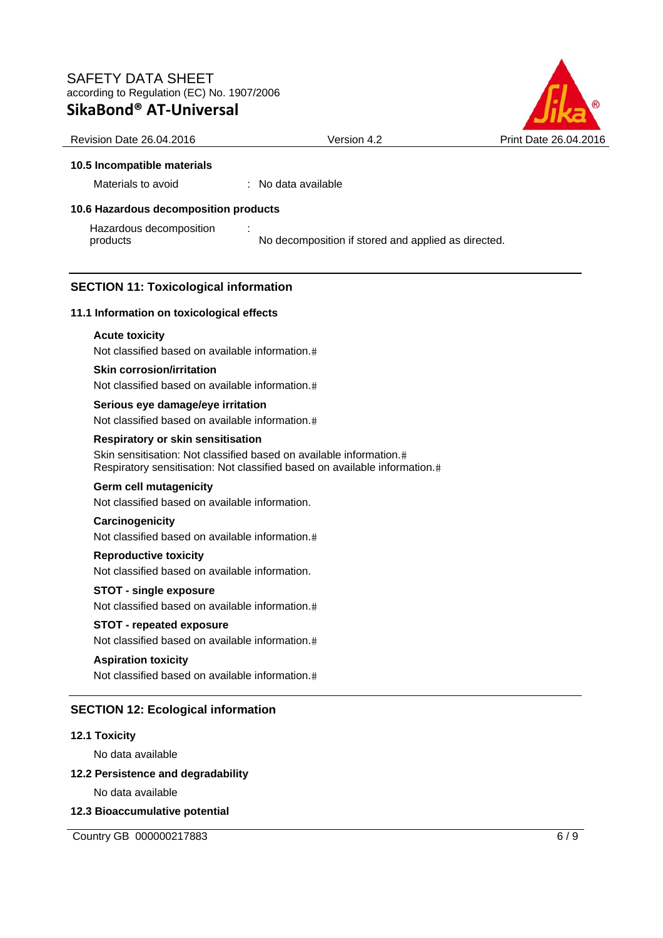

Revision Date 26.04.2016 Version 4.2 Print Date 26.04.2016

# **10.5 Incompatible materials**

Materials to avoid : No data available

# **10.6 Hazardous decomposition products**

Hazardous decomposition products :

No decomposition if stored and applied as directed.

# **SECTION 11: Toxicological information**

# **11.1 Information on toxicological effects**

# **Acute toxicity**

Not classified based on available information.

# **Skin corrosion/irritation**

Not classified based on available information.

# **Serious eye damage/eye irritation** Not classified based on available information.

# **Respiratory or skin sensitisation**

Skin sensitisation: Not classified based on available information. Respiratory sensitisation: Not classified based on available information.

# **Germ cell mutagenicity**

Not classified based on available information.

# **Carcinogenicity**

Not classified based on available information.

# **Reproductive toxicity**

Not classified based on available information.

# **STOT - single exposure**

Not classified based on available information.

# **STOT - repeated exposure**

Not classified based on available information.

# **Aspiration toxicity**

Not classified based on available information.

# **SECTION 12: Ecological information**

# **12.1 Toxicity**

No data available

# **12.2 Persistence and degradability**

No data available

# **12.3 Bioaccumulative potential**

Country GB 000000217883 6/9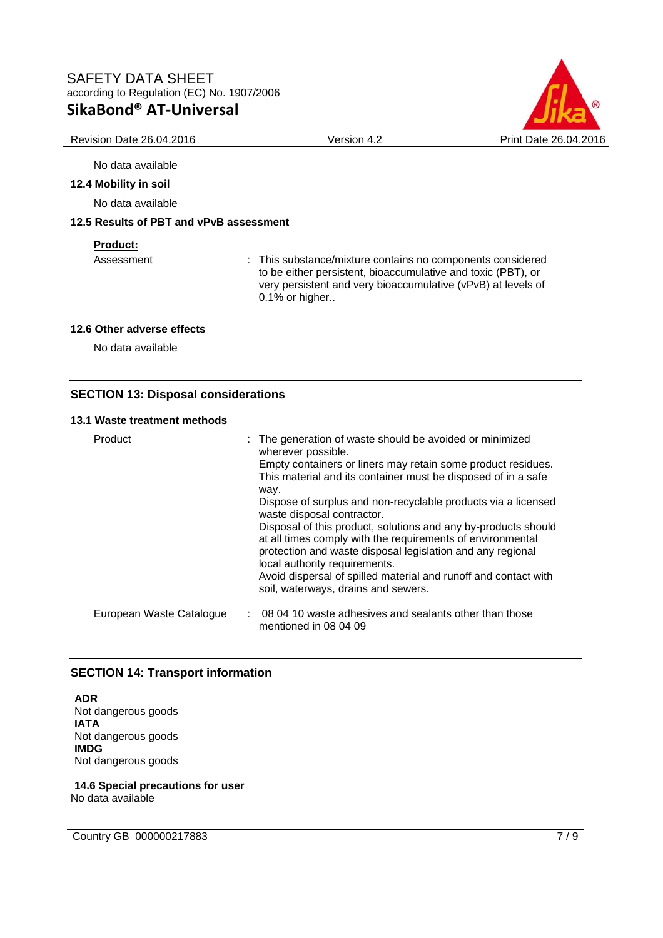

#### No data available

#### **12.4 Mobility in soil**

No data available

## **12.5 Results of PBT and vPvB assessment**

#### **Product:**

Assessment : This substance/mixture contains no components considered to be either persistent, bioaccumulative and toxic (PBT), or very persistent and very bioaccumulative (vPvB) at levels of 0.1% or higher..

#### **12.6 Other adverse effects**

No data available

# **SECTION 13: Disposal considerations**

### **13.1 Waste treatment methods**

| Product                  | : The generation of waste should be avoided or minimized<br>wherever possible.<br>Empty containers or liners may retain some product residues.                                                                              |
|--------------------------|-----------------------------------------------------------------------------------------------------------------------------------------------------------------------------------------------------------------------------|
|                          | This material and its container must be disposed of in a safe<br>way.                                                                                                                                                       |
|                          | Dispose of surplus and non-recyclable products via a licensed<br>waste disposal contractor.                                                                                                                                 |
|                          | Disposal of this product, solutions and any by-products should<br>at all times comply with the requirements of environmental<br>protection and waste disposal legislation and any regional<br>local authority requirements. |
|                          | Avoid dispersal of spilled material and runoff and contact with<br>soil, waterways, drains and sewers.                                                                                                                      |
| European Waste Catalogue | : 08 04 10 waste adhesives and sealants other than those<br>mentioned in 08 04 09                                                                                                                                           |

# **SECTION 14: Transport information**

**ADR**  Not dangerous goods **IATA**  Not dangerous goods **IMDG**  Not dangerous goods

**14.6 Special precautions for user**  No data available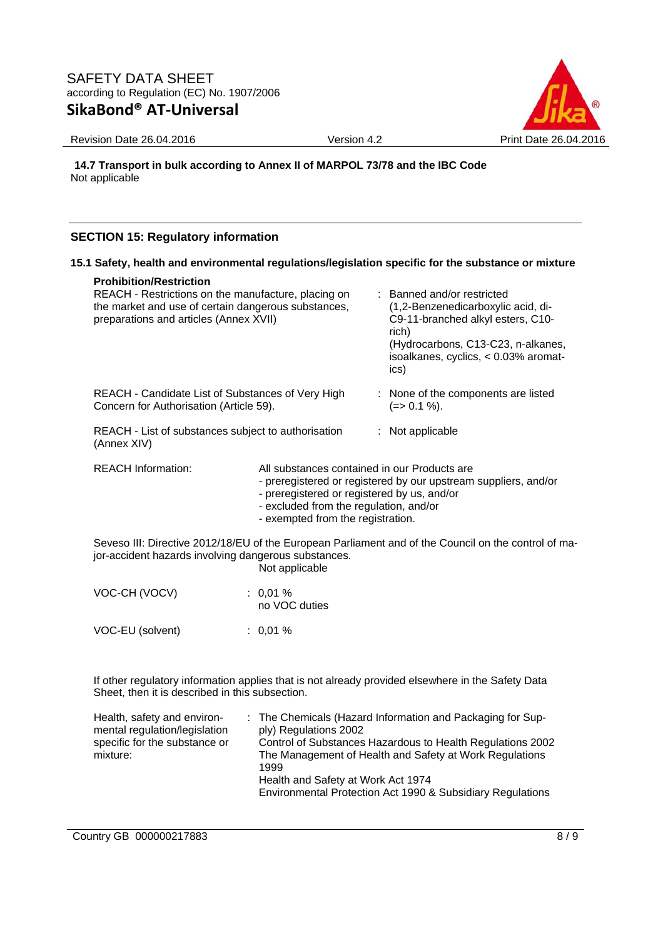

Revision Date 26.04.2016 Version 4.2 Print Date 26.04.2016

**14.7 Transport in bulk according to Annex II of MARPOL 73/78 and the IBC Code**  Not applicable

# **SECTION 15: Regulatory information**

## **15.1 Safety, health and environmental regulations/legislation specific for the substance or mixture**

#### **Prohibition/Restriction**

| REACH - Restrictions on the manufacture, placing on<br>the market and use of certain dangerous substances,<br>preparations and articles (Annex XVII) |                                                                                                                                                                                                          |  | : Banned and/or restricted<br>(1,2-Benzenedicarboxylic acid, di-<br>C9-11-branched alkyl esters, C10-<br>rich)<br>(Hydrocarbons, C13-C23, n-alkanes,<br>isoalkanes, cyclics, < 0.03% aromat-<br>ics) |
|------------------------------------------------------------------------------------------------------------------------------------------------------|----------------------------------------------------------------------------------------------------------------------------------------------------------------------------------------------------------|--|------------------------------------------------------------------------------------------------------------------------------------------------------------------------------------------------------|
| REACH - Candidate List of Substances of Very High<br>Concern for Authorisation (Article 59).                                                         |                                                                                                                                                                                                          |  | : None of the components are listed<br>(=> 0.1 %).                                                                                                                                                   |
| REACH - List of substances subject to authorisation<br>(Annex XIV)                                                                                   |                                                                                                                                                                                                          |  | $:$ Not applicable                                                                                                                                                                                   |
| <b>REACH Information:</b>                                                                                                                            | All substances contained in our Products are<br>- preregistered or registered by our upstream suppliers, and/or<br>- preregistered or registered by us, and/or<br>- excluded from the regulation, and/or |  |                                                                                                                                                                                                      |

- exempted from the registration.

Seveso III: Directive 2012/18/EU of the European Parliament and of the Council on the control of major-accident hazards involving dangerous substances.

Not applicable

| VOC-CH (VOCV)    | $: 0.01 \%$<br>no VOC duties |
|------------------|------------------------------|
| VOC-EU (solvent) | $: 0.01 \%$                  |

If other regulatory information applies that is not already provided elsewhere in the Safety Data Sheet, then it is described in this subsection.

| Health, safety and environ-<br>mental regulation/legislation<br>specific for the substance or<br>mixture: | : The Chemicals (Hazard Information and Packaging for Sup-<br>ply) Regulations 2002<br>Control of Substances Hazardous to Health Regulations 2002<br>The Management of Health and Safety at Work Regulations<br>1999<br>Health and Safety at Work Act 1974<br>Environmental Protection Act 1990 & Subsidiary Regulations |
|-----------------------------------------------------------------------------------------------------------|--------------------------------------------------------------------------------------------------------------------------------------------------------------------------------------------------------------------------------------------------------------------------------------------------------------------------|
|                                                                                                           |                                                                                                                                                                                                                                                                                                                          |